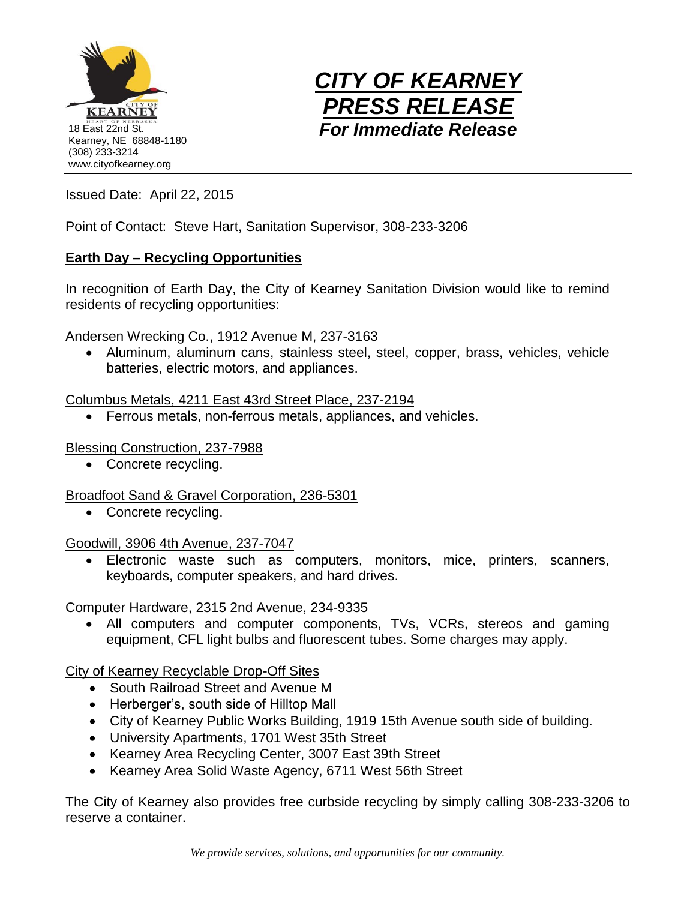



Issued Date: April 22, 2015

Point of Contact: Steve Hart, Sanitation Supervisor, 308-233-3206

## **Earth Day – Recycling Opportunities**

In recognition of Earth Day, the City of Kearney Sanitation Division would like to remind residents of recycling opportunities:

Andersen Wrecking Co., 1912 Avenue M, 237-3163

 Aluminum, aluminum cans, stainless steel, steel, copper, brass, vehicles, vehicle batteries, electric motors, and appliances.

Columbus Metals, 4211 East 43rd Street Place, 237-2194

Ferrous metals, non-ferrous metals, appliances, and vehicles.

Blessing Construction, 237-7988

• Concrete recycling.

Broadfoot Sand & Gravel Corporation, 236-5301

• Concrete recycling.

Goodwill, 3906 4th Avenue, 237-7047

 Electronic waste such as computers, monitors, mice, printers, scanners, keyboards, computer speakers, and hard drives.

Computer Hardware, 2315 2nd Avenue, 234-9335

 All computers and computer components, TVs, VCRs, stereos and gaming equipment, CFL light bulbs and fluorescent tubes. Some charges may apply.

City of Kearney Recyclable Drop-Off Sites

- South Railroad Street and Avenue M
- Herberger's, south side of Hilltop Mall
- City of Kearney Public Works Building, 1919 15th Avenue south side of building.
- University Apartments, 1701 West 35th Street
- Kearney Area Recycling Center, 3007 East 39th Street
- Kearney Area Solid Waste Agency, 6711 West 56th Street

The City of Kearney also provides free curbside recycling by simply calling 308-233-3206 to reserve a container.